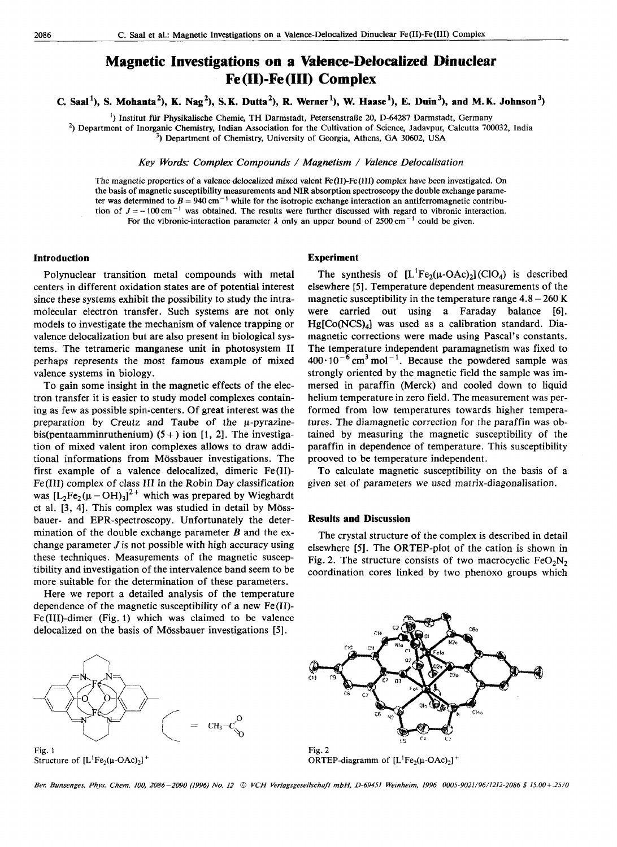# <sup>2086</sup> <sup>C.</sup> Saal et al.: Magnetic Investigations on a Valence-Delocalized Dinuclear Fe(II)-Fe(III) Complex<br> **Magnetic Investigations on a Valence-Delocalized Dinuclear Investigations on a Valence-Debealized Dinuclear Fe (11)-Fe (111) Complex**

**C. Saal'), S. Mohanta'), K. Nag'), S.K. Dutta'), R. Werner'), W. Haase'), E. Duin3), and M.K. Johnson3)**  700032, India zyxwvutsrqponmlkjihgfedcbaZYXWVUTSRQPONMLKJIHGFEDCBA

') Institut fur Physikalische Chemie, TH Darmstadt, PetersenstraBe 20, D-64287 Darmstadt, Germany

<sup>2</sup>) Department of Inorganic Chemistry, Indian Association for the Cultivation of Science, Jadavpur, Calcutta

**3,** Department of Chemistry, University of Georgia, Athens, GA 30602, USA

*Key Words: Complex Compounds* / *Magnetism* / *Valence Delocalisation* 

The magnetic properties of a valence delocalized mixed valent Fe(I1)-Fe(II1) complex have been investigated. On the basis of magnetic susceptibility measurements and NIR absorption spectroscopy the double exchange parame-<br>ter was determined to  $B = 940 \text{ cm}^{-1}$  while for the isotropic exchange interaction an antiferromagnetic contri Intermether of Inorganic Chemistry, Indian Association for the Cultivation of Science, Jadavpur, Calcutta 700032, India<sup>3</sup>) Department of Chemistry, University of Georgia, Athens, GA 30602, USA<br> *Key Words: Complex Compou* tion of  $J = -100 \text{ cm}^{-1}$  was obtained. The results were further discussed with regard to vibronic interaction.<br>For the vibronic-interaction parameter  $\lambda$  only an upper bound of 2500 cm<sup>-1</sup> could be given. *Key Words: Complex Compounds / Magnetism / Valence Delocalisation*<br>netic properties of a valence delocalized mixed valent Fe(II)-Fe(III) complex have been investigated. On<br>of magnetic susceptibility measurements and NIR

## **Introduction**

Polynuclear transition metal compounds with metal centers in different oxidation states are of potential interest since these systems exhibit the possibility to study the intramolecular electron transfer. Such systems are not only models to investigate the mechanism of valence trapping or valence delocalization but are also present in biological systems. The tetrameric manganese unit in photosystem I1 perhaps represents the most famous example of mixed valence systems in biology.

To gain some insight in the magnetic effects of the electron transfer it is easier to study model complexes containing as few as possible spin-centers. Of great interest was the preparation by Creutz and Taube of the  $\mu$ -pyrazinebis(pentaamminruthenium)  $(5 + )$  ion [1, 2]. The investigation of mixed valent iron complexes allows to draw additional informations from Mössbauer investigations. The first example of a valence delocalized, dimeric Fe(I1)- Fe(II1) complex of class I11 in the Robin Day classification was  $[L_2Fe_2(\mu - OH)_3]^2$ <sup>+</sup> which was prepared by Wieghardt et al. [3, 41. This complex was studied in detail by Mossbauer- and EPR-spectroscopy. Unfortunately the determination of the double exchange parameter *B* and the exchange parameter  $J$  is not possible with high accuracy using these techniques. Measurements of the magnetic susceptibility and investigation of the intervalence band seem to be more suitable for the determination of these parameters.

Here we report a detailed analysis of the temperature dependence of the magnetic susceptibility of a new Fe(I1)- Fe(II1)-dimer (Fig. 1) which was claimed to be valence delocalized on the basis of Mossbauer investigations [5].



Structure of  $[L^1Fe_2(\mu\text{-OAc})_2]^+$ 

## **Experiment**

The synthesis of  $[L^1Fe_2(\mu-OAc)_2]$  (ClO<sub>4</sub>) is described Experiment<br>intert discussed with regard to vibronic interaction.<br>upper bound of 2500 cm<sup>-1</sup> could be given.<br>**Experiment**<br>The synthesis of  $[L^1Fe_2(\mu\text{-OAc})_2]$  (ClO<sub>4</sub>) is described<br>elsewhere [5]. Temperature dependent meas elsewhere [5]. Temperature dependent measurements of the magnetic susceptibility in the temperature range  $4.8 - 260 \text{ K}$ were carried out using a Faraday balance **[6].**   $Hg[Co(NCS)<sub>4</sub>]$  was used as a calibration standard. Diamagnetic corrections were made using Pascal's constants. The temperature independent paramagnetism was fixed to  $400 \cdot 10^{-6}$  cm<sup>3</sup> mol<sup>-1</sup>. Because the powdered sample was strongly oriented by the magnetic field the sample was immersed in paraffin (Merck) and cooled down to liquid helium temperature in zero field. The measurement was performed from low temperatures towards higher temperatures. The diamagnetic correction for the paraffin was obtained by measuring the magnetic susceptibility of the paraffin in dependence of temperature. This susceptibility prooved to be temperature independent.

To calculate magnetic susceptibility on the basis of a given set of parameters we used matrix-diagonalisation.

### **Results and Discussion**

The crystal structure of the complex is described in detail elsewhere **[5].** The ORTEP-plot of the cation is shown in Fig. 2. The structure consists of two macrocyclic  $FeO<sub>2</sub>N<sub>2</sub>$ coordination cores linked by two phenoxo groups which



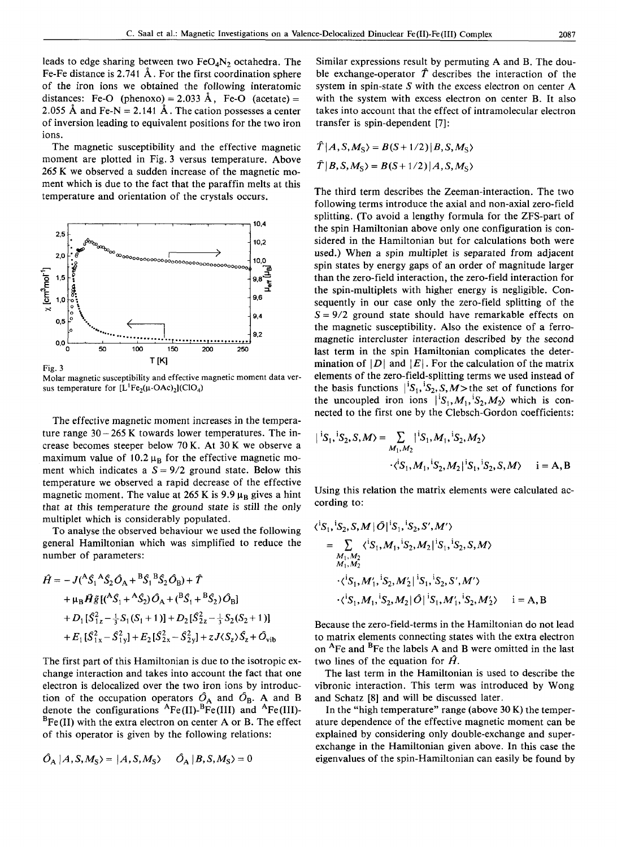leads to edge sharing between two  $FeO<sub>4</sub>N<sub>2</sub>$  octahedra. The Fe-Fe distance is 2.741 A. For the first coordination sphere of the iron ions we obtained the following interatomic distances: Fe-O (phenoxo) = 2.033 Å, Fe-O (acetate) = 2.055 Å and Fe-N = 2.141 Å. The cation possesses a center leads to edge sharing between two FeO<sub>4</sub>N<sub>2</sub> octahedra. The Similar expressions result by permuting A and B. The dou-<br>Fe-Fe distance is 2.741 Å. For the first coordination sphere ble exchange-operator  $\hat{T}$  describes the of inversion leading to equivalent positions for the two iron ions.

The magnetic susceptibility and the effective magnetic moment are plotted in Fig. 3 versus temperature. Above 265 K we observed a sudden increase of the magnetic moment which is due to the fact that the paraffin melts at this temperature and orientation of the crystals occurs.



Molar magnetic susceptibility and effective magnetic moment data versus temperature for  $[L^1Fe_2(\mu\text{-OAc})_2](ClO_4)$ 

The effective magnetic moment increases in the temperature range  $30 - 265$  K towards lower temperatures. The increase becomes steeper below 70 K. At 30 K we observe a maximum value of 10.2  $\mu_B$  for the effective magnetic mo-<br>ment which indicates a  $S = 9/2$  ground state. Below this The effective magnetic moment increases in the tempera-<br>ture range 30 – 265 K towards lower temperatures. The in-<br>rease becomes steeper below 70 K. At 30 K we observe a<br>maximum value of 10.2  $\mu_B$  for the effective magnet temperature we observed a rapid decrease of the effective magnetic moment. The value at  $265$  K is  $9.9 \mu_B$  gives a hint that at this temperature the ground state is still the only multiplet which is considerably populated.

To analyse the observed behaviour we used the following general Hamiltonian which was simplified to reduce the number of parameters:

$$
\hat{H} = -J({}^{A}S_{1}{}^{A}S_{2}O_{A} + {}^{B}S_{1}{}^{B}S_{2}O_{B}) + \hat{T}
$$
\n
$$
+ \mu_{B}\hat{H}\tilde{g}[({}^{A}S_{1} + {}^{A}S_{2})O_{A} + ({}^{B}S_{1} + {}^{B}S_{2})O_{B}]
$$
\n
$$
+ D_{1}[S_{1z}^{2} - \frac{1}{3}S_{1}(S_{1} + 1)] + D_{2}[S_{2z}^{2} - \frac{1}{3}S_{2}(S_{2} + 1)]
$$
\n
$$
+ E_{1}[S_{1x}^{2} - S_{1y}^{2}] + E_{2}[S_{2x}^{2} - S_{2y}^{2}] + zJ\langle S_{2}\rangle S_{z} + \hat{O}_{vib}
$$

The first part of this Hamiltonian is due to the isotropic exchange interaction and takes into account the fact that one electron is delocalized over the two iron ions by introduction of the occupation operators  $\hat{O}_A$  and  $\hat{O}_B$ . A and B denote the configurations  ${}^{A}Fe (II)$ -BFe(III) and  ${}^{A}Fe (III)$ - ${}^{B}Fe (II)$  with the extra electron on center A or B. The effect of this operator is given by the following relations:

$$
\hat{O}_{A} | A, S, M_{S} \rangle = | A, S, M_{S} \rangle \qquad \hat{O}_{A} | B, S, M_{S} \rangle = 0
$$

Similar expressions result by permuting A and B. The double exchange-operator  $\hat{T}$  describes the interaction of the system in spin-state S with the excess electron on center **A**  with the system with excess electron on center B. It also takes into account that the effect of intramolecular electron transfer is spin-dependent **[7]:** 

$$
\hat{T}|A, S, M_{S}\rangle = B(S+1/2)|B, S, M_{S}\rangle
$$
  

$$
\hat{T}|B, S, M_{S}\rangle = B(S+1/2)|A, S, M_{S}\rangle
$$

**2.6 2.0 2.0 zyxupided controlled apply to the cystals occurs.**<br> **2.0 2.9 2.0 2.9 2.0 2.9 2.9 2.9 2.9 2.9 2.9 2.9 2.9 2.9 2.9 2.9 2.9 2.9 2.9 2.9 2.9 2.9 2.9 2.9 2.9 x zyxwvutsrqponmlkjihgfedcbaZYXWVUTSRQPONMLKJIHGFEDCBA** *zyxwvutsrqponmlkjihgfedcbaZYXWVUTSRQPONMLKJIHGFEDCBA* **1,5**  2.5<br>  $\frac{1}{3}$  A and Fe-N = 2.141 Å. The cation possesses a center takes into account that the effect of intramolecular electron<br>
i...<br>
i. the magnetic susceptibility and the effective magnetic  $\hat{T}|A, S, M_S\rangle = B(S+1/2)|B, S, M_S$ **E.** Saal et al.: Magnetic Investigations on a Valence-Delocalized Dinuclear Fell)-Fell11) Complex<br>
Experimental Context of the Similar expressions result by permuting A and B. The dou-<br>
same of the first coordination sph The third term describes the Zeeman-interaction. The two following terms introduce the axial and non-axial zero-field splitting, (To avoid a lengthy formula for the ZFS-part of the spin Hamiltonian above only one configuration is considered in the Hamiltonian but for calculations both were used.) When a spin multiplet is separated from adjacent spin states by energy gaps of an order of magnitude larger than the zero-field interaction, the zero-field interaction for the spin-multiplets with higher energy is negligible. Consequently in our case only the zero-field splitting of the  $S = 9/2$  ground state should have remarkable effects on the magnetic susceptibility. Also the existence of a ferromagnetic intercluster interaction described by the second last term in the spin Hamiltonian complicates the determination of  $|D|$  and  $|E|$ . For the calculation of the matrix elements of the zero-field-splitting terms we used instead of the basis functions  $|{}^{i}S_1, {}^{i}S_2, S, M>$  the set of functions for the uncoupled iron ions  $\vert^{1}S_1, M_1, \vert^{1}S_2, M_2\rangle$  which is connected to the first one by the Clebsch-Gordon coefficients:

$$
|{}^{1}S_{1}, {}^{1}S_{2}, S, M\rangle = \sum_{M_{1}, M_{2}} |{}^{1}S_{1}, M_{1}, {}^{1}S_{2}, M_{2}\rangle
$$

$$
\cdot \langle {}^{1}S_{1}, M_{1}, {}^{1}S_{2}, M_{2}|{}^{1}S_{1}, {}^{1}S_{2}, S, M\rangle \qquad i = A, B
$$

Using this relation the matrix elements were calculated according to:

$$
\langle S_1, S_2, S, M | \hat{O} | S_1, S_2, S', M' \rangle
$$
  
= 
$$
\sum_{\substack{M_1, M_2 \\ M_1, M_2}} \langle S_1, M_1, S_2, M_2 | S_1, S_2, S, M \rangle
$$
  

$$
\langle S_1, M'_1, S_2, M'_2 | S_1, S_2, S', M' \rangle
$$
  

$$
\langle S_1, M_1, S_2, M_2 | \hat{O} | S_1, M'_1, S_2, M'_2 \rangle \quad i = A, B
$$

Because the zero-field-terms in the Hamiltonian do not lead to matrix elements connecting states with the extra electron on <sup>A</sup>Fe and <sup>B</sup>Fe the labels A and B were omitted in the last two lines of the equation for  $\hat{H}$ .

The last term in the Hamiltonian is used to describe the vibronic interaction. This term was introduced by Wong and Schatz **[8]** and will be discussed later.

In the "high temperature" range (above 30 **K)** the temperature dependence of the effective magnetic moment can be explained by considering only double-exchange and superexchange in the Hamiltonian given above. In this case the eigenvalues of the spin-Hamiltonian can easily be found by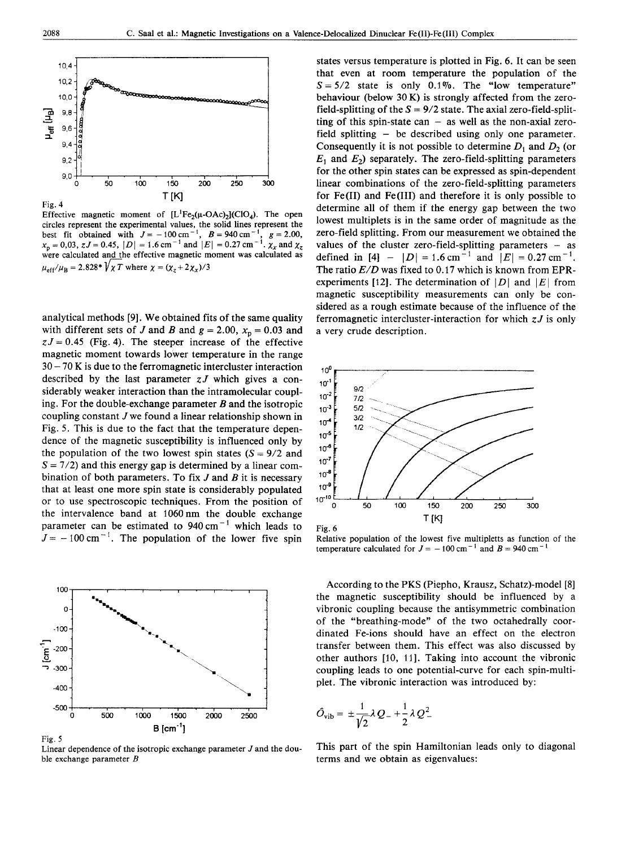

Effective magnetic moment of  $[L^1Fe_2(\mu\text{-OAc})_2](ClO_4)$ . The open circles represent the experimental values, the solid lines represent the best fit obtained with  $J = -100 \text{ cm}^{-1}$ ,  $B = 940 \text{ cm}^{-1}$ .  $g = 2.00$ ,  $x_p = 0.03$ ,  $zJ = 0.45$ ,  $|D| = 1.6$  cm<sup>-1</sup> and  $|E| = 0.27$  cm<sup>-1</sup>.  $\chi_x$  and  $\chi_z$ were calculated and the effective magnetic moment was calculated as  $\mu_{eff}/\mu_B = 2.828$ \* $\sqrt{\chi} T$  where  $\chi = (\chi_z + 2\chi_x)/3$ 

analytical methods [9]. We obtained fits of the same quality with different sets of J and B and  $g = 2.00$ ,  $x_p = 0.03$  and  $zJ = 0.45$  (Fig. 4). The steeper increase of the effective magnetic moment towards lower temperature in the range  $30 - 70$  K is due to the ferromagnetic intercluster interaction described by the last parameter  $zJ$  which gives a considerably weaker interaction than the intramolecular coupling. For the double-exchange parameter  $B$  and the isotropic coupling constant  $J$  we found a linear relationship shown in Fig. 5. This is due to the fact that the temperature dependence of the magnetic susceptibility is influenced only by the population of the two lowest spin states  $(S = 9/2$  and  $S = 7/2$ ) and this energy gap is determined by a linear combination of both parameters. To fix  $J$  and  $B$  it is necessary that at least one more spin state is considerably populated or to use spectroscopic techniques. From the position of the intervalence band at 1060 nm the double exchange parameter can be estimated to  $940 \text{ cm}^{-1}$  which leads to  $J = -100 \text{ cm}^{-1}$ . The population of the lower five spin



Fig. 5

Linear dependence of the isotropic exchange parameter  $J$  and the double exchange parameter  $B$ 

states versus temperature is plotted in Fig. 6. It can be seen that even at room temperature the population of the  $S = 5/2$  state is only 0.1%. The "low temperature" behaviour (below 30 K) is strongly affected from the zerofield-splitting of the  $S = 9/2$  state. The axial zero-field-splitting of this spin-state can  $-$  as well as the non-axial zerofield splitting - be described using only one parameter. Consequently it is not possible to determine  $D_1$  and  $D_2$  (or  $E_1$  and  $E_2$ ) separately. The zero-field-splitting parameters for the other spin states can be expressed as spin-dependent linear combinations of the zero-field-splitting parameters for  $Fe(II)$  and  $Fe(III)$  and therefore it is only possible to determine all of them if the energy gap between the two lowest multiplets is in the same order of magnitude as the zero-field splitting. From our measurement we obtained the values of the cluster zero-field-splitting parameters  $-$  as defined in [4] -  $|D| = 1.6$  cm<sup>-1</sup> and  $|E| = 0.27$  cm<sup>-1</sup>. The ratio  $E/D$  was fixed to 0.17 which is known from EPRexperiments [12]. The determination of  $|D|$  and  $|E|$  from magnetic susceptibility measurements can only be considered as a rough estimate because of the influence of the ferromagnetic intercluster-interaction for which  $zJ$  is only a very crude description.



Relative population of the lowest five multipletts as function of the temperature calculated for  $J = -100 \text{ cm}^{-1}$  and  $B = 940 \text{ cm}^{-1}$ 

According to the PKS (Piepho, Krausz, Schatz)-model [8] the magnetic susceptibility should be influenced by a vibronic coupling because the antisymmetric combination of the "breathing-mode" of the two octahedrally coordinated Fe-ions should have an effect on the electron transfer between them. This effect was also discussed by other authors [10, 11]. Taking into account the vibronic coupling leads to one potential-curve for each spin-multiplet. The vibronic interaction was introduced by:

$$
\hat{O}_{\text{vib}} = \pm \frac{1}{\sqrt{2}} \lambda Q_{-} + \frac{1}{2} \lambda Q_{-}^{2}
$$

This part of the spin Hamiltonian leads only to diagonal terms and we obtain as eigenvalues: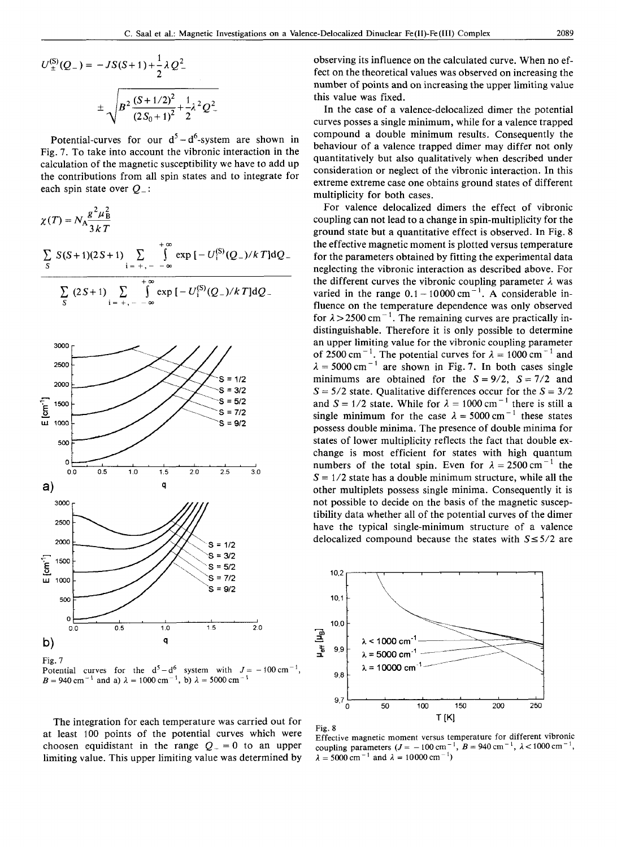$$
U_{\pm}^{(S)}(Q_{-}) = -JS(S+1) + \frac{1}{2}\lambda Q_{-}^{2}
$$

$$
\pm \sqrt{B^{2} \frac{(S+1/2)^{2}}{(2S_{0}+1)^{2}} + \frac{1}{2}\lambda^{2}Q_{-}^{2}}
$$

Potential-curves for our  $d^5 - d^6$ -system are shown in Fig. 7. To take into account the vibronic interaction in the calculation of the magnetic susceptibility we have to add up the contributions from all spin states and to integrate for each spin state over  $Q_{-}$ :

$$
\chi(T) = N_A \frac{g^2 \mu_B^2}{3 k T}
$$
  

$$
\sum_{S} S(S+1)(2S+1) \sum_{i = +,--\infty}^{+\infty} \int_{-\infty}^{+\infty} \exp[-U_1^{(S)}(Q_-)/k] dQ_-
$$
  

$$
\sum_{S} (2S+1) \sum_{i = +,--\infty}^{+\infty} \int_{-\infty}^{+\infty} \exp[-U_1^{(S)}(Q_-)/k] dQ_-
$$



Fig. 7 Potential curves for the  $d^5 - d^6$  system with  $J = -100 \text{ cm}^{-1}$ ,  $B=940 \text{ cm}^{-1}$  and a)  $\lambda=1000 \text{ cm}^{-1}$ , b)  $\lambda=5000 \text{ cm}^{-1}$ 

The integration for each temperature was carried out for at least 100 points of the potential curves which were choosen equidistant in the range  $Q_{-} = 0$  to an upper limiting value. This upper limiting value was determined by

C. Saal et al.: Magnetic Investigations on a Valence-Delocalized Dinuclear Fe(II)-Fe(III) Complex 2089<br>  $U_{\pm}^{(S)}(Q_{-}) = -JS(S+1) + \frac{1}{2}\lambda Q^2$  bbserving its influence on the calculated curve. When no ef-<br>
fect on the theoret observing its influence on the calculated curve. When no effect on the theoretical values was observed on increasing the number of points and on increasing the upper limiting value this value was fixed.

Fig. 7. To take into account the magnetic susceptibility we have to add up<br>this value was fixed.<br>The case of a valence-delocalized dimer the potential<br>eurves for our  $d^5 - d^6$ -system are shown in<br>Fig. 7. To take into acco In the case of a valence-delocalized dimer the potential curves posses a single minimum, while for a valence trapped compound a double minimum results. Consequently the behaviour of a valence trapped dimer may differ not only quantitatively but also qualitatively when described under consideration or neglect of the vibronic interaction. In this extreme extreme case one obtains ground states of different multiplicity for both cases.

 $\frac{\sum_{i=+,---\infty}^{+\infty} x_i^2}{3kT}$  coupling can not lead to a change in spin-multiplicity for the<br>ground state but a quantitative effect is observed. In Fig. 8<br>the effective magnetic moment is plotted versus temperature<br>for t **example 1990**<br>  $x = 5000 \text{ cm}^{-1}$  are shown in Fig. 7. In both cases single<br>  $x = 5000 \text{ cm}^{-1}$  are shown in Fig. 7. In both cases single<br>  $x = 5000 \text{ cm}^{-1}$  are shown in Fig. 7. In both cases single<br>  $x = 5000 \text{ cm}^{-1}$  are tibility data whether all of the potential curves of the dimer<br>have the typical single-minimum structure of a valence<br>delocalized compound because the states with  $S \le 5/2$  are<br>= 3/2<br>= 5/2<br>= 7/2<br>= 7/2 For valence delocalized dimers the effect of vibronic coupling can not lead to a change in spin-multiplicity for the ground state but a quantitative effect is observed. In Fig. 8 the effective magnetic moment is plotted versus temperature for the parameters obtained by fitting the experimental data neglecting the vibronic interaction as described above. For the different curves the vibronic coupling parameter  $\lambda$  was varied in the range  $0.1 - 10000 \text{ cm}^{-1}$ . A considerable influence on the temperature dependence was only observed for  $\lambda$  > 2500 cm<sup>-1</sup>. The remaining curves are practically indistinguishable. Therefore it is only possible to determine an upper limiting value for the vibronic coupling parameter of 2500 cm<sup>-1</sup>. The potential curves for  $\lambda = 1000$  cm<sup>-1</sup> and  $\lambda = 5000 \text{ cm}^{-1}$  are shown in Fig. 7. In both cases single minimums are obtained for the  $S = 9/2$ ,  $S = 7/2$  and  $S = 5/2$  state. Qualitative differences occur for the  $S = 3/2$ and  $S = 1/2$  state. While for  $\lambda = 1000 \text{ cm}^{-1}$  there is still a single minimum for the case  $\lambda = 5000 \text{ cm}^{-1}$  these states possess double minima. The presence of double minima for states of lower multiplicity reflects the fact that double exchange is most efficient for states with high quantum numbers of the total spin. Even for  $\lambda = 2500 \text{ cm}^{-1}$  the  $S = 1/2$  state has a double minimum structure, while all the other multiplets possess single minima. Consequently it is not possible to decide on the basis of the magnetic susceptibility data whether all of the potential curves of the dimer have the typical single-minimum structure of a valence delocalized compound because the states with  $S \leq 5/2$  are





Effective magnetic moment versus temperature for different vibronic coupling parameters  $(J = -100 \text{ cm}^{-1}, B = 940 \text{ cm}^{-1}, \lambda < 1000 \text{ cm}^{-1})$  $\lambda = 5000 \text{ cm}^{-1}$  and  $\lambda = 10000 \text{ cm}^{-1}$ )